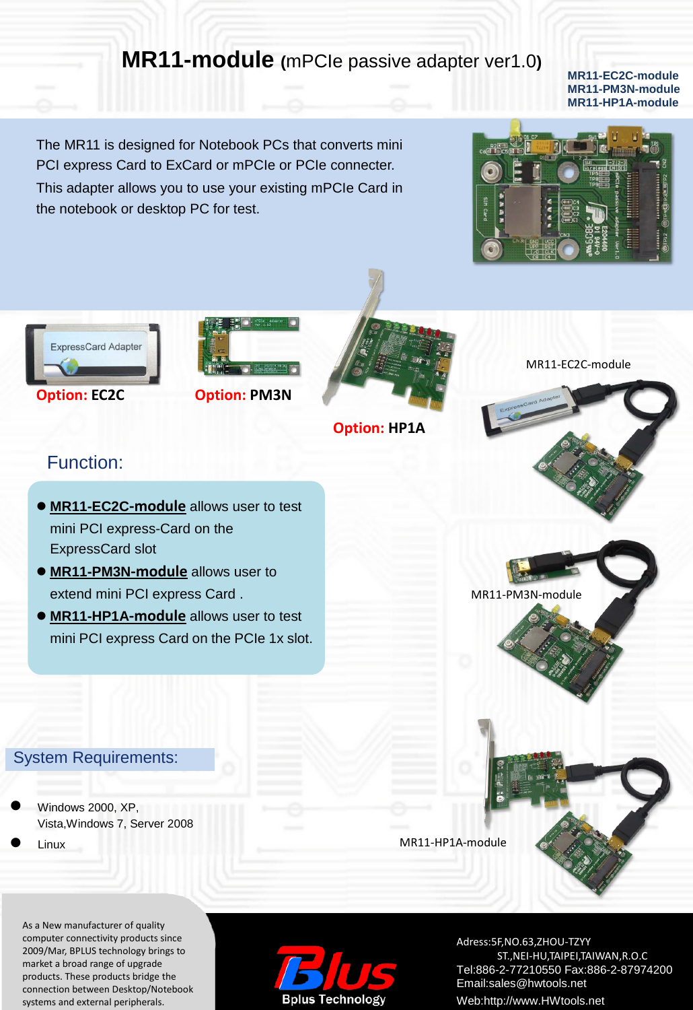# **MR11-module (**mPCIe passive adapter ver1.0**)**

#### **MR11-EC2C-module MR11-PM3N-module MR11-HP1A-module**

The MR11 is designed for Notebook PCs that converts mini PCI express Card to ExCard or mPCIe or PCIe connecter. This adapter allows you to use your existing mPCIe Card in the notebook or desktop PC for test.





#### **Option: EC2C Option: PM3N**



**Option: HP1A**

MR11-EC2C-module

MR11-PM3N-module

## Function:

- **MR11-EC2C-module** allows user to test mini PCI express-Card on the ExpressCard slot
- **MR11-PM3N-module** allows user to extend mini PCI express Card .
- **MR11-HP1A-module** allows user to test mini PCI express Card on the PCIe 1x slot.

### System Requirements:

- Windows 2000, XP, Vista,Windows 7, Server 2008
- Linux

As a New manufacturer of quality computer connectivity products since 2009/Mar, BPLUS technology brings to market a broad range of upgrade products. These products bridge the connection between Desktop/Notebook systems and external peripherals.



Adress:5F,NO.63,ZHOU-TZYY ST.,NEI-HU,TAIPEI,TAIWAN,R.O.C Tel:886-2-77210550 Fax:886-2-87974200 Email:sales@hwtools.net Web:http://www.HWtools.net

MR11-HP1A-module